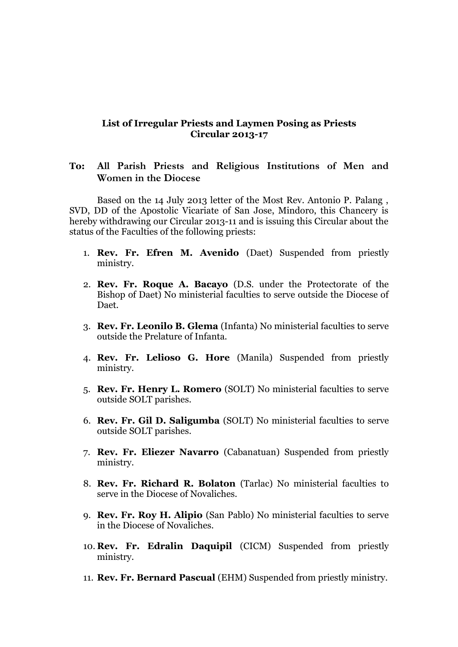## **List of Irregular Priests and Laymen Posing as Priests Circular 2013-17**

## **To: All Parish Priests and Religious Institutions of Men and Women in the Diocese**

Based on the 14 July 2013 letter of the Most Rev. Antonio P. Palang , SVD, DD of the Apostolic Vicariate of San Jose, Mindoro, this Chancery is hereby withdrawing our Circular 2013-11 and is issuing this Circular about the status of the Faculties of the following priests:

- 1. **Rev. Fr. Efren M. Avenido** (Daet) Suspended from priestly ministry.
- 2. **Rev. Fr. Roque A. Bacayo** (D.S. under the Protectorate of the Bishop of Daet) No ministerial faculties to serve outside the Diocese of Daet.
- 3. **Rev. Fr. Leonilo B. Glema** (Infanta) No ministerial faculties to serve outside the Prelature of Infanta.
- 4. **Rev. Fr. Lelioso G. Hore** (Manila) Suspended from priestly ministry.
- 5. **Rev. Fr. Henry L. Romero** (SOLT) No ministerial faculties to serve outside SOLT parishes.
- 6. **Rev. Fr. Gil D. Saligumba** (SOLT) No ministerial faculties to serve outside SOLT parishes.
- 7. **Rev. Fr. Eliezer Navarro** (Cabanatuan) Suspended from priestly ministry.
- 8. **Rev. Fr. Richard R. Bolaton** (Tarlac) No ministerial faculties to serve in the Diocese of Novaliches.
- 9. **Rev. Fr. Roy H. Alipio** (San Pablo) No ministerial faculties to serve in the Diocese of Novaliches.
- 10. **Rev. Fr. Edralin Daquipil** (CICM) Suspended from priestly ministry.
- 11. **Rev. Fr. Bernard Pascual** (EHM) Suspended from priestly ministry.